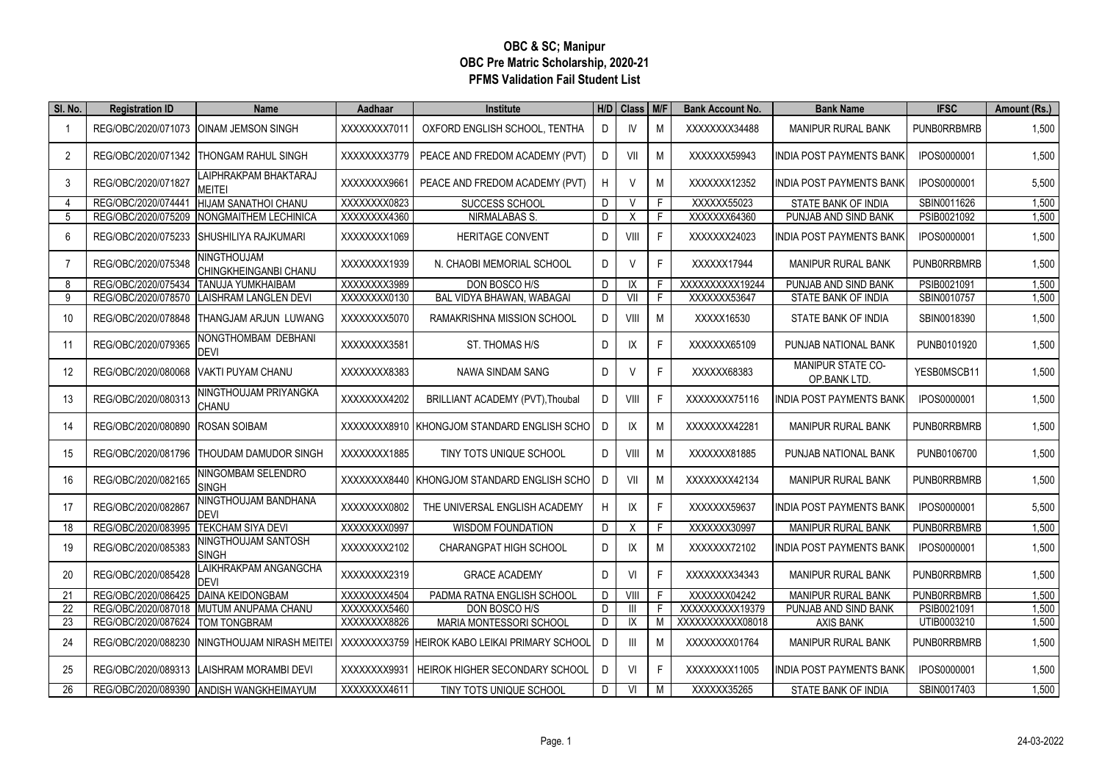## **OBC & SC; Manipur OBC Pre Matric Scholarship, 2020-21 PFMS Validation Fail Student List**

| SI. No. | <b>Registration ID</b>           | <b>Name</b>                                 | Aadhaar      | <b>Institute</b>                               |   | H/D Class | M/F | <b>Bank Account No.</b> | <b>Bank Name</b>                         | <b>IFSC</b>        | Amount (Rs.) |
|---------|----------------------------------|---------------------------------------------|--------------|------------------------------------------------|---|-----------|-----|-------------------------|------------------------------------------|--------------------|--------------|
| -1      | REG/OBC/2020/071073              | <b>OINAM JEMSON SINGH</b>                   | XXXXXXX7011  | OXFORD ENGLISH SCHOOL, TENTHA                  | D | IV        | M   | XXXXXXX34488            | <b>MANIPUR RURAL BANK</b>                | <b>PUNBORRBMRB</b> | 1,500        |
| 2       |                                  | REG/OBC/2020/071342 THONGAM RAHUL SINGH     | XXXXXXX3779  | PEACE AND FREDOM ACADEMY (PVT)                 | D | VII       | M   | XXXXXX59943             | <b>INDIA POST PAYMENTS BANK</b>          | IPOS0000001        | 1,500        |
| 3       | REG/OBC/2020/071827              | LAIPHRAKPAM BHAKTARAJ<br><b>MEITEI</b>      | XXXXXXX9661  | PEACE AND FREDOM ACADEMY (PVT)                 | H | $\vee$    | M   | XXXXXX12352             | <b>INDIA POST PAYMENTS BANK</b>          | IPOS0000001        | 5,500        |
| 4       | REG/OBC/2020/074441              | <b>HIJAM SANATHOI CHANU</b>                 | XXXXXXX0823  | SUCCESS SCHOOL                                 | D | V         | F.  | XXXXXX55023             | STATE BANK OF INDIA                      | SBIN0011626        | 1,500        |
| 5       | REG/OBC/2020/075209              | NONGMAITHEM LECHINICA                       | XXXXXXX4360  | <b>NIRMALABAS S.</b>                           | D | X         | F   | XXXXXX64360             | PUNJAB AND SIND BANK                     | PSIB0021092        | 1,500        |
| 6       | REG/OBC/2020/075233              | <b>I</b> SHUSHILIYA RAJKUMARI               | XXXXXXX1069  | <b>HERITAGE CONVENT</b>                        | D | VIII      | F   | XXXXXX24023             | <b>INDIA POST PAYMENTS BANK</b>          | IPOS0000001        | 1,500        |
| 7       | REG/OBC/2020/075348              | <b>NINGTHOUJAM</b><br>CHINGKHEINGANBI CHANU | XXXXXXX1939  | N. CHAOBI MEMORIAL SCHOOL                      | D | $\vee$    | F   | XXXXX17944              | <b>MANIPUR RURAL BANK</b>                | <b>PUNBORRBMRB</b> | 1,500        |
| 8       | REG/OBC/2020/075434              | <b>ITANUJA YUMKHAIBAM</b>                   | XXXXXXX3989  | DON BOSCO H/S                                  | D | IX        | F.  | XXXXXXXXX19244          | PUNJAB AND SIND BANK                     | PSIB0021091        | 1,500        |
| 9       | REG/OBC/2020/078570              | <b>LAISHRAM LANGLEN DEVI</b>                | XXXXXXX0130  | BAL VIDYA BHAWAN, WABAGAI                      | D | VII       | F   | XXXXXX53647             | STATE BANK OF INDIA                      | SBIN0010757        | 1,500        |
| 10      | REG/OBC/2020/078848              | <b>THANGJAM ARJUN LUWANG</b>                | XXXXXXXX5070 | RAMAKRISHNA MISSION SCHOOL                     | D | VIII      | M   | XXXXX16530              | STATE BANK OF INDIA                      | SBIN0018390        | 1,500        |
| 11      | REG/OBC/2020/079365              | NONGTHOMBAM DEBHANI<br><b>DFVI</b>          | XXXXXXX3581  | ST. THOMAS H/S                                 | D | IX        | F   | XXXXXX65109             | PUNJAB NATIONAL BANK                     | PUNB0101920        | 1,500        |
| 12      | REG/OBC/2020/080068              | <b>VAKTI PUYAM CHANU</b>                    | XXXXXXX8383  | NAWA SINDAM SANG                               | D | V         | F   | XXXXX68383              | <b>MANIPUR STATE CO-</b><br>OP BANK LTD. | YESB0MSCB11        | 1,500        |
| 13      | REG/OBC/2020/080313              | NINGTHOUJAM PRIYANGKA<br><b>CHANU</b>       | XXXXXXX4202  | BRILLIANT ACADEMY (PVT), Thoubal               | D | VIII      | F   | XXXXXXX75116            | INDIA POST PAYMENTS BANK                 | IPOS0000001        | 1,500        |
| 14      | REG/OBC/2020/080890              | <b>ROSAN SOIBAM</b>                         |              | XXXXXXXX8910 KHONGJOM STANDARD ENGLISH SCHOL   | D | IX        | M   | XXXXXXX42281            | MANIPUR RURAL BANK                       | <b>PUNBORRBMRB</b> | 1,500        |
| 15      | REG/OBC/2020/081796              | THOUDAM DAMUDOR SINGH                       | XXXXXXX1885  | TINY TOTS UNIQUE SCHOOL                        | D | VIII      | M   | XXXXXX81885             | PUNJAB NATIONAL BANK                     | PUNB0106700        | 1,500        |
| 16      | REG/OBC/2020/082165              | NINGOMBAM SELENDRO<br><b>SINGH</b>          |              | XXXXXXX8440 KHONGJOM STANDARD ENGLISH SCHO     | D | VII       | M   | XXXXXXX42134            | <b>MANIPUR RURAL BANK</b>                | <b>PUNBORRBMRB</b> | 1,500        |
| 17      | REG/OBC/2020/082867              | NINGTHOUJAM BANDHANA<br><b>DEVI</b>         | XXXXXXXX0802 | THE UNIVERSAL ENGLISH ACADEMY                  | H | IX        | F   | XXXXXX59637             | <b>INDIA POST PAYMENTS BANK</b>          | IPOS0000001        | 5,500        |
| 18      | REG/OBC/2020/083995              | <b>ITEKCHAM SIYA DEVI</b>                   | XXXXXXX0997  | <b>WISDOM FOUNDATION</b>                       | D | Χ         | F   | XXXXXX30997             | MANIPUR RURAL BANK                       | <b>PUNBORRBMRB</b> | 1,500        |
| 19      | REG/OBC/2020/085383              | NINGTHOUJAM SANTOSH<br><b>SINGH</b>         | XXXXXXX2102  | CHARANGPAT HIGH SCHOOL                         | D | IX        | M   | XXXXXX72102             | <b>INDIA POST PAYMENTS BANK</b>          | IPOS0000001        | 1,500        |
| 20      | REG/OBC/2020/085428              | LAIKHRAKPAM ANGANGCHA<br><b>DEVI</b>        | XXXXXXX2319  | <b>GRACE ACADEMY</b>                           | D | VI        | F   | XXXXXXX34343            | MANIPUR RURAL BANK                       | <b>PUNBORRBMRB</b> | 1,500        |
| 21      | REG/OBC/2020/086425              | <b>DAINA KEIDONGBAM</b>                     | XXXXXXX4504  | PADMA RATNA ENGLISH SCHOOL                     | D | VIII      | F   | XXXXXX04242             | MANIPUR RURAL BANK                       | <b>PUNBORRBMRB</b> | 1,500        |
| 22      | REG/OBC/2020/087018              | MUTUM ANUPAMA CHANU                         | XXXXXXX5460  | DON BOSCO H/S                                  | D | Ш         | F.  | XXXXXXXXX19379          | PUNJAB AND SIND BANK                     | PSIB0021091        | 1,500        |
| 23      | REG/OBC/2020/087624 TOM TONGBRAM |                                             | XXXXXXX8826  | MARIA MONTESSORI SCHOOL                        | D | IX        | M   | XXXXXXXXXX08018         | <b>AXIS BANK</b>                         | UTIB0003210        | 1,500        |
| 24      | REG/OBC/2020/088230              | NINGTHOUJAM NIRASH MEITEI                   |              | XXXXXXXX3759 HEIROK KABO LEIKAI PRIMARY SCHOOL | D | III       | M   | XXXXXXX01764            | <b>MANIPUR RURAL BANK</b>                | <b>PUNBORRBMRB</b> | 1,500        |
| 25      | REG/OBC/2020/089313              | LAISHRAM MORAMBI DEVI                       |              | XXXXXXX9931   HEIROK HIGHER SECONDARY SCHOOL   | D | VI        | E   | XXXXXXX11005            | <b>INDIA POST PAYMENTS BANK</b>          | IPOS0000001        | 1,500        |
| 26      |                                  | REG/OBC/2020/089390 ANDISH WANGKHEIMAYUM    | XXXXXXX4611  | TINY TOTS UNIQUE SCHOOL                        | D | VI        | M   | XXXXX35265              | STATE BANK OF INDIA                      | SBIN0017403        | 1,500        |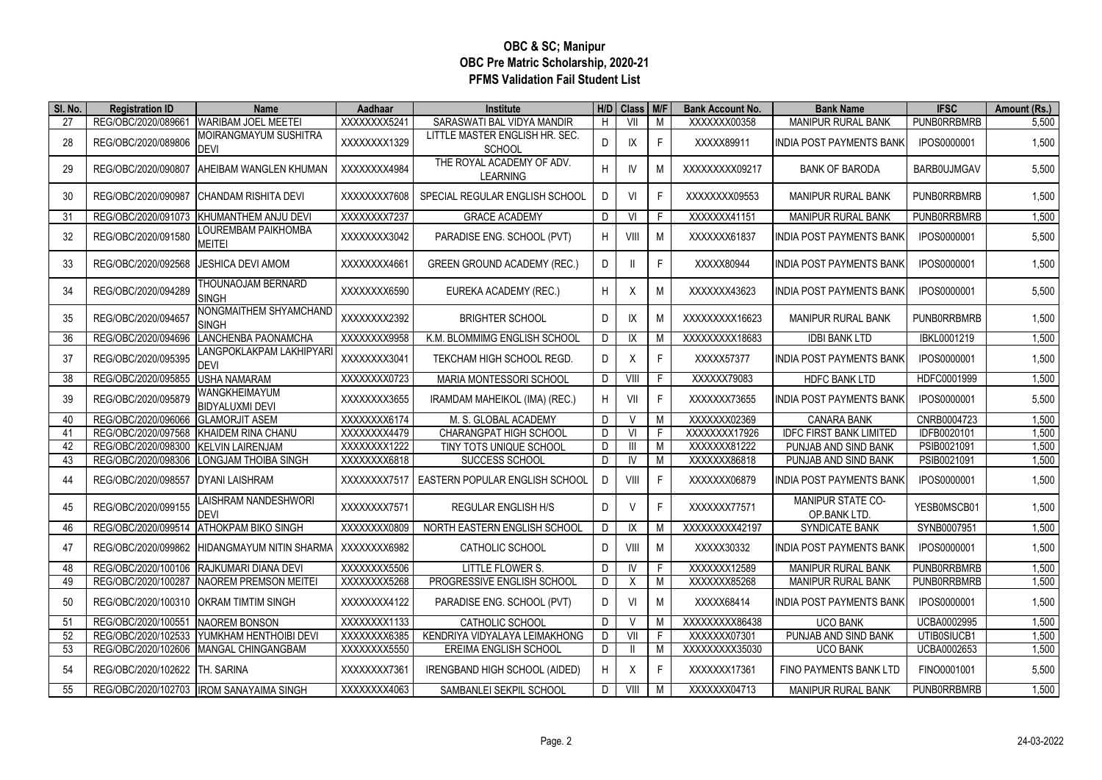## **OBC & SC; Manipur OBC Pre Matric Scholarship, 2020-21 PFMS Validation Fail Student List**

| SI. No. | <b>Registration ID</b>         | <b>Name</b>                                | Aadhaar      | Institute                                       |    | H/D Class M/F     |    | <b>Bank Account No.</b> | <b>Bank Name</b>                         | <b>IFSC</b>        | Amount (Rs.) |
|---------|--------------------------------|--------------------------------------------|--------------|-------------------------------------------------|----|-------------------|----|-------------------------|------------------------------------------|--------------------|--------------|
| 27      | REG/OBC/2020/089661            | WARIBAM JOEL MEETEI                        | XXXXXXXX5241 | SARASWATI BAL VIDYA MANDIR                      | H  | $\overline{\leq}$ | M  | XXXXXXX00358            | <b>MANIPUR RURAL BANK</b>                | <b>PUNBORRBMRB</b> | 5,500        |
| 28      | REG/OBC/2020/089806            | MOIRANGMAYUM SUSHITRA<br>DEVI              | XXXXXXX1329  | LITTLE MASTER ENGLISH HR. SEC.<br><b>SCHOOL</b> | D  | IX                | F  | XXXXX89911              | INDIA POST PAYMENTS BANK                 | IPOS0000001        | 1,500        |
| 29      | REG/OBC/2020/090807            | AHEIBAM WANGLEN KHUMAN                     | XXXXXXX4984  | THE ROYAL ACADEMY OF ADV.<br><b>LEARNING</b>    | H  | IV                | M  | XXXXXXXXX09217          | <b>BANK OF BARODA</b>                    | <b>BARBOUJMGAV</b> | 5,500        |
| 30      | REG/OBC/2020/090987            | CHANDAM RISHITA DEVI                       | XXXXXXX7608  | SPECIAL REGULAR ENGLISH SCHOOL                  | D  | VI                | F  | XXXXXXX09553            | <b>MANIPUR RURAL BANK</b>                | <b>PUNBORRBMRB</b> | 1,500        |
| 31      | REG/OBC/2020/091073            | KHUMANTHEM ANJU DEVI                       | XXXXXXX7237  | <b>GRACE ACADEMY</b>                            | D  | VI                | F  | XXXXXX41151             | <b>MANIPUR RURAL BANK</b>                | <b>PUNBORRBMRB</b> | 1,500        |
| 32      | REG/OBC/2020/091580            | OUREMBAM PAIKHOMBA.<br>meitei              | XXXXXXX3042  | PARADISE ENG. SCHOOL (PVT)                      | H  | VIII              | M  | XXXXXX61837             | INDIA POST PAYMENTS BANK                 | IPOS0000001        | 5,500        |
| 33      | REG/OBC/2020/092568            | <b>JESHICA DEVI AMOM</b>                   | XXXXXXX4661  | <b>GREEN GROUND ACADEMY (REC.)</b>              | D  |                   | F  | XXXXX80944              | INDIA POST PAYMENTS BANK                 | IPOS0000001        | 1,500        |
| 34      | REG/OBC/2020/094289            | THOUNAOJAM BERNARD<br><b>SINGH</b>         | XXXXXXX6590  | EUREKA ACADEMY (REC.)                           | H. | Χ                 | M  | XXXXXX43623             | INDIA POST PAYMENTS BANK                 | IPOS0000001        | 5,500        |
| 35      | REG/OBC/2020/094657            | NONGMAITHEM SHYAMCHAND<br>SINGH            | XXXXXXX2392  | <b>BRIGHTER SCHOOL</b>                          | D  | IX                | M  | XXXXXXXX16623           | MANIPUR RURAL BANK                       | <b>PUNBORRBMRB</b> | 1,500        |
| 36      | REG/OBC/2020/094696            | LANCHENBA PAONAMCHA                        | XXXXXXX9958  | K.M. BLOMMIMG ENGLISH SCHOOL                    | D  | IX                | M  | XXXXXXXX18683           | <b>IDBI BANK LTD</b>                     | IBKL0001219        | 1,500        |
| 37      | REG/OBC/2020/095395            | LANGPOKLAKPAM LAKHIPYARI<br><b>DEVI</b>    | XXXXXXX3041  | TEKCHAM HIGH SCHOOL REGD.                       | D  | X                 | F. | XXXXX57377              | INDIA POST PAYMENTS BANK                 | IPOS0000001        | 1,500        |
| 38      | REG/OBC/2020/095855            | <b>USHA NAMARAM</b>                        | XXXXXXXX0723 | MARIA MONTESSORI SCHOOL                         | D  | VIII              | F  | XXXXX79083              | <b>HDFC BANK LTD</b>                     | HDFC0001999        | 1,500        |
| 39      | REG/OBC/2020/095879            | WANGKHEIMAYUM<br>BIDYALUXMI DEVI           | XXXXXXX3655  | IRAMDAM MAHEIKOL (IMA) (REC.)                   | H  | VII               | F. | XXXXXX73655             | <b>INDIA POST PAYMENTS BANK</b>          | IPOS0000001        | 5,500        |
| 40      | REG/OBC/2020/096066            | <b>GLAMORJIT ASEM</b>                      | XXXXXXX6174  | M. S. GLOBAL ACADEMY                            | D  | V                 | M  | XXXXXX02369             | <b>CANARA BANK</b>                       | CNRB0004723        | 1,500        |
| 41      | REG/OBC/2020/097568            | KHAIDEM RINA CHANU                         | XXXXXXX4479  | CHARANGPAT HIGH SCHOOL                          | D  | VI                | F  | XXXXXXX17926            | <b>IDFC FIRST BANK LIMITED</b>           | IDFB0020101        | 1,500        |
| 42      | REG/OBC/2020/098300            | <b>KELVIN LAIRENJAM</b>                    | XXXXXXX1222  | TINY TOTS UNIQUE SCHOOL                         | D  | Ш                 | M  | XXXXXX81222             | PUNJAB AND SIND BANK                     | PSIB0021091        | 1,500        |
| 43      | REG/OBC/2020/098306            | LONGJAM THOIBA SINGH                       | XXXXXXX6818  | SUCCESS SCHOOL                                  | D  | IV                | M  | XXXXXX86818             | PUNJAB AND SIND BANK                     | PSIB0021091        | 1,500        |
| 44      | REG/OBC/2020/098557            | <b>DYANI LAISHRAM</b>                      | XXXXXXX7517  | EASTERN POPULAR ENGLISH SCHOOL                  | D  | VIII              | F  | XXXXXX06879             | <b>INDIA POST PAYMENTS BANK</b>          | IPOS0000001        | 1,500        |
| 45      | REG/OBC/2020/099155            | <b>LAISHRAM NANDESHWORI</b><br>DEVI        | XXXXXXX7571  | REGULAR ENGLISH H/S                             | D  | $\vee$            | F  | XXXXXX77571             | <b>MANIPUR STATE CO-</b><br>OP.BANK LTD. | YESB0MSCB01        | 1,500        |
| 46      | REG/OBC/2020/099514            | <b>ATHOKPAM BIKO SINGH</b>                 | XXXXXXX0809  | NORTH EASTERN ENGLISH SCHOOL                    | D  | IX                | M  | XXXXXXXX42197           | SYNDICATE BANK                           | SYNB0007951        | 1,500        |
| 47      | REG/OBC/2020/099862            | HIDANGMAYUM NITIN SHARMA                   | XXXXXXX6982  | <b>CATHOLIC SCHOOL</b>                          | D  | VIII              | M  | XXXXX30332              | <b>INDIA POST PAYMENTS BANK</b>          | IPOS0000001        | 1,500        |
| 48      | REG/OBC/2020/100106            | RAJKUMARI DIANA DEVI                       | XXXXXXX5506  | LITTLE FLOWER S.                                | D  | IV                | F. | XXXXXX12589             | <b>MANIPUR RURAL BANK</b>                | <b>PUNBORRBMRB</b> | 1,500        |
| 49      | REG/OBC/2020/100287            | NAOREM PREMSON MEITEI                      | XXXXXXX5268  | PROGRESSIVE ENGLISH SCHOOL                      | D  | X                 | M  | XXXXXX85268             | MANIPUR RURAL BANK                       | <b>PUNBORRBMRB</b> | 1,500        |
| 50      |                                | REG/OBC/2020/100310 OKRAM TIMTIM SINGH     | XXXXXXX4122  | PARADISE ENG. SCHOOL (PVT)                      | D  | VI                | M  | XXXXX68414              | INDIA POST PAYMENTS BANK                 | IPOS0000001        | 1,500        |
| 51      | REG/OBC/2020/100551            | <b>INAOREM BONSON</b>                      | XXXXXXX1133  | CATHOLIC SCHOOL                                 | D  | V                 | M  | XXXXXXXX86438           | <b>UCO BANK</b>                          | UCBA0002995        | 1,500        |
| 52      | REG/OBC/2020/102533            | YUMKHAM HENTHOIBI DEVI                     | XXXXXXX6385  | KENDRIYA VIDYALAYA LEIMAKHONG                   | D  | VII               | F  | XXXXXXX07301            | PUNJAB AND SIND BANK                     | UTIB0SIUCB1        | 1,500        |
| 53      | REG/OBC/2020/102606            | MANGAL CHINGANGBAM                         | XXXXXXX5550  | <b>EREIMA ENGLISH SCHOOL</b>                    | D  |                   | M  | XXXXXXXX35030           | <b>UCO BANK</b>                          | UCBA0002653        | 1,500        |
| 54      | REG/OBC/2020/102622 TH. SARINA |                                            | XXXXXXX7361  | IRENGBAND HIGH SCHOOL (AIDED)                   | H  | X                 | F  | XXXXXX17361             | FINO PAYMENTS BANK LTD                   | FINO0001001        | 5,500        |
| 55      |                                | REG/OBC/2020/102703   IROM SANAYAIMA SINGH | XXXXXXX4063  | SAMBANLEI SEKPIL SCHOOL                         | D  | VIII              | M  | XXXXXX04713             | MANIPUR RURAL BANK                       | <b>PUNBORRBMRB</b> | 1,500        |